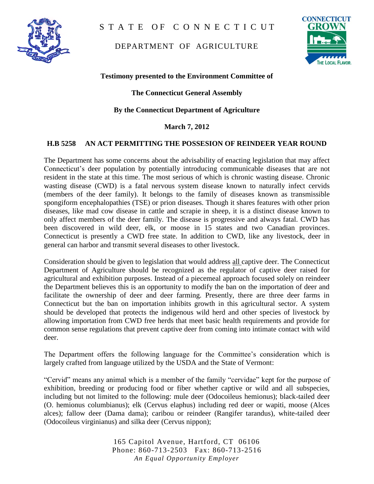

STATE OF CONNECTICUT

## DEPARTMENT OF AGRICULTURE



#### **Testimony presented to the Environment Committee of**

### **The Connecticut General Assembly**

#### **By the Connecticut Department of Agriculture**

#### **March 7, 2012**

#### **H.B 5258 AN ACT PERMITTING THE POSSESION OF REINDEER YEAR ROUND**

The Department has some concerns about the advisability of enacting legislation that may affect Connecticut's deer population by potentially introducing communicable diseases that are not resident in the state at this time. The most serious of which is chronic wasting disease. Chronic wasting disease (CWD) is a fatal nervous system disease known to naturally infect cervids (members of the deer family). It belongs to the family of diseases known as transmissible spongiform encephalopathies (TSE) or prion diseases. Though it shares features with other prion diseases, like mad cow disease in cattle and scrapie in sheep, it is a distinct disease known to only affect members of the deer family. The disease is progressive and always fatal. CWD has been discovered in wild deer, elk, or moose in 15 states and two Canadian provinces. Connecticut is presently a CWD free state. In addition to CWD, like any livestock, deer in general can harbor and transmit several diseases to other livestock.

Consideration should be given to legislation that would address all captive deer. The Connecticut Department of Agriculture should be recognized as the regulator of captive deer raised for agricultural and exhibition purposes. Instead of a piecemeal approach focused solely on reindeer the Department believes this is an opportunity to modify the ban on the importation of deer and facilitate the ownership of deer and deer farming. Presently, there are three deer farms in Connecticut but the ban on importation inhibits growth in this agricultural sector. A system should be developed that protects the indigenous wild herd and other species of livestock by allowing importation from CWD free herds that meet basic health requirements and provide for common sense regulations that prevent captive deer from coming into intimate contact with wild deer.

The Department offers the following language for the Committee's consideration which is largely crafted from language utilized by the USDA and the State of Vermont:

"Cervid" means any animal which is a member of the family "cervidae" kept for the purpose of exhibition, breeding or producing food or fiber whether captive or wild and all subspecies, including but not limited to the following: mule deer (Odocoileus hemionus); black-tailed deer (O. hemionus columbianus); elk (Cervus elaphus) including red deer or wapiti, moose (Alces alces); fallow deer (Dama dama); caribou or reindeer (Rangifer tarandus), white-tailed deer (Odocoileus virginianus) and silka deer (Cervus nippon);

> 165 Capitol Avenue, Hartford, CT 06106 Phone: 860-713-2503 Fax: 860-713-2516 *An Equal Opportunity Employer*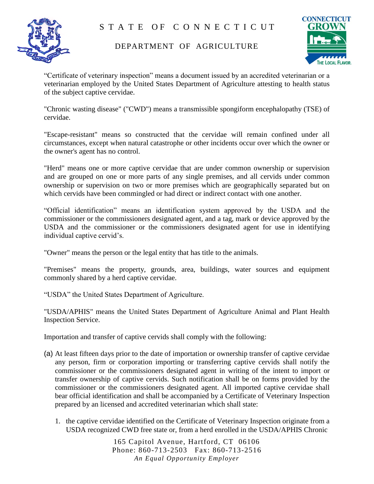

# STATE OF CONNECTICUT

## DEPARTMENT OF AGRICULTURE



"Certificate of veterinary inspection" means a document issued by an accredited veterinarian or a veterinarian employed by the United States Department of Agriculture attesting to health status of the subject captive cervidae.

"Chronic wasting disease" ("CWD") means a transmissible spongiform encephalopathy (TSE) of cervidae.

"Escape-resistant" means so constructed that the cervidae will remain confined under all circumstances, except when natural catastrophe or other incidents occur over which the owner or the owner's agent has no control.

"Herd" means one or more captive cervidae that are under common ownership or supervision and are grouped on one or more parts of any single premises, and all cervids under common ownership or supervision on two or more premises which are geographically separated but on which cervids have been commingled or had direct or indirect contact with one another.

"Official identification" means an identification system approved by the USDA and the commissioner or the commissioners designated agent, and a tag, mark or device approved by the USDA and the commissioner or the commissioners designated agent for use in identifying individual captive cervid's.

"Owner" means the person or the legal entity that has title to the animals.

"Premises" means the property, grounds, area, buildings, water sources and equipment commonly shared by a herd captive cervidae.

"USDA" the United States Department of Agriculture.

"USDA/APHIS" means the United States Department of Agriculture Animal and Plant Health Inspection Service.

Importation and transfer of captive cervids shall comply with the following:

- (a) At least fifteen days prior to the date of importation or ownership transfer of captive cervidae any person, firm or corporation importing or transferring captive cervids shall notify the commissioner or the commissioners designated agent in writing of the intent to import or transfer ownership of captive cervids. Such notification shall be on forms provided by the commissioner or the commissioners designated agent. All imported captive cervidae shall bear official identification and shall be accompanied by a Certificate of Veterinary Inspection prepared by an licensed and accredited veterinarian which shall state:
	- 1. the captive cervidae identified on the Certificate of Veterinary Inspection originate from a USDA recognized CWD free state or, from a herd enrolled in the USDA/APHIS Chronic

165 Capitol Avenue, Hartford, CT 06106 Phone: 860-713-2503 Fax: 860-713-2516 *An Equal Opportunity Employer*